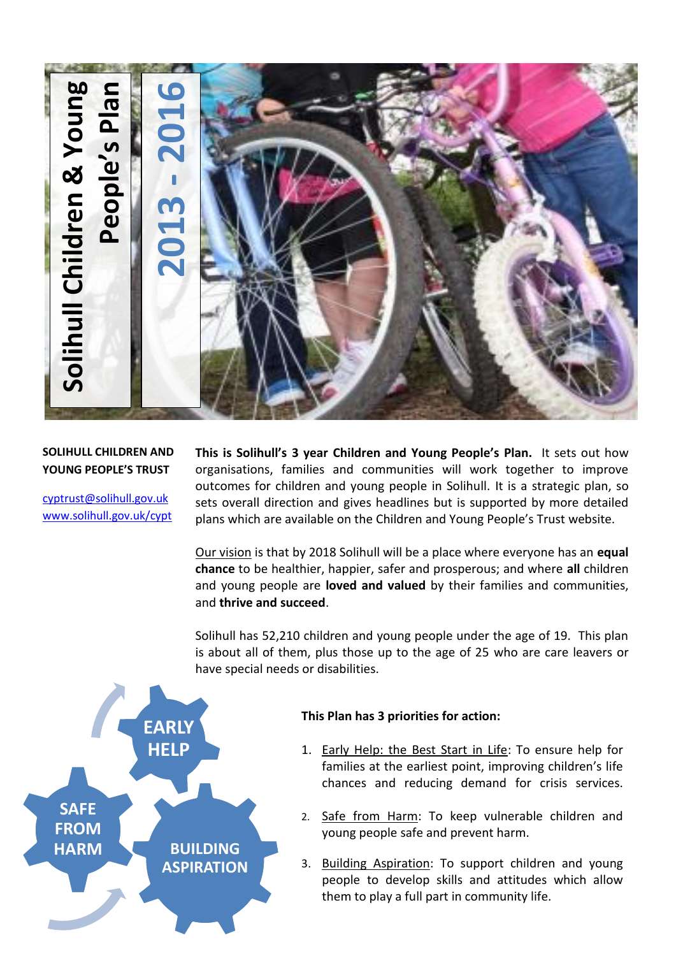

#### **SOLIHULL CHILDREN AND YOUNG PEOPLE'S TRUST**

[cyptrust@solihull.gov.uk](mailto:cyptrust@solihull.gov.uk) [www.solihull.gov.uk/cypt](http://www.solihull.gov.uk/cypt) **This is Solihull's 3 year Children and Young People's Plan.** It sets out how organisations, families and communities will work together to improve outcomes for children and young people in Solihull. It is a strategic plan, so sets overall direction and gives headlines but is supported by more detailed plans which are available on the Children and Young People's Trust website.

Our vision is that by 2018 Solihull will be a place where everyone has an **equal chance** to be healthier, happier, safer and prosperous; and where **all** children and young people are **loved and valued** by their families and communities, and **thrive and succeed**.

Solihull has 52,210 children and young people under the age of 19. This plan is about all of them, plus those up to the age of 25 who are care leavers or have special needs or disabilities.



#### **This Plan has 3 priorities for action:**

- 1. Early Help: the Best Start in Life: To ensure help for families at the earliest point, improving children's life chances and reducing demand for crisis services.
- 2. Safe from Harm: To keep vulnerable children and young people safe and prevent harm.
- 3. Building Aspiration: To support children and young people to develop skills and attitudes which allow them to play a full part in community life.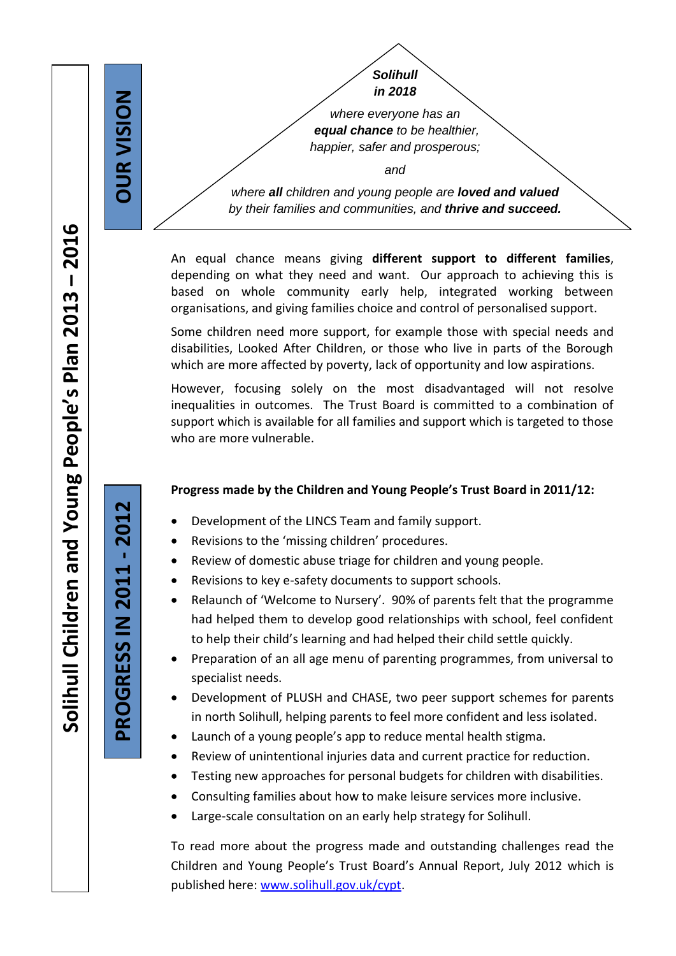**PROGRESS IN 2011** 

**PROGRESS IN 201** 

**-**

**2012**

*Solihull in 2018 where everyone has an equal chance to be healthier, happier, safer and prosperous; and where all children and young people are loved and valued* 

An equal chance means giving **different support to different families**, depending on what they need and want. Our approach to achieving this is based on whole community early help, integrated working between organisations, and giving families choice and control of personalised support.

*by their families and communities, and thrive and succeed.*

Some children need more support, for example those with special needs and disabilities, Looked After Children, or those who live in parts of the Borough which are more affected by poverty, lack of opportunity and low aspirations.

However, focusing solely on the most disadvantaged will not resolve inequalities in outcomes. The Trust Board is committed to a combination of support which is available for all families and support which is targeted to those who are more vulnerable.

## **Progress made by the Children and Young People's Trust Board in 2011/12:**

- Development of the LINCS Team and family support.
- Revisions to the 'missing children' procedures.
- Review of domestic abuse triage for children and young people.
- Revisions to key e-safety documents to support schools.
- Relaunch of 'Welcome to Nursery'. 90% of parents felt that the programme had helped them to develop good relationships with school, feel confident to help their child's learning and had helped their child settle quickly.
- Preparation of an all age menu of parenting programmes, from universal to specialist needs.
- Development of PLUSH and CHASE, two peer support schemes for parents in north Solihull, helping parents to feel more confident and less isolated.
- Launch of a young people's app to reduce mental health stigma.
- Review of unintentional injuries data and current practice for reduction.
- Testing new approaches for personal budgets for children with disabilities.
- Consulting families about how to make leisure services more inclusive.
- Large-scale consultation on an early help strategy for Solihull.

To read more about the progress made and outstanding challenges read the Children and Young People's Trust Board's Annual Report, July 2012 which is published here: [www.solihull.gov.uk/cypt.](http://www.solihull.gov.uk/cypt)

**OUR VISION**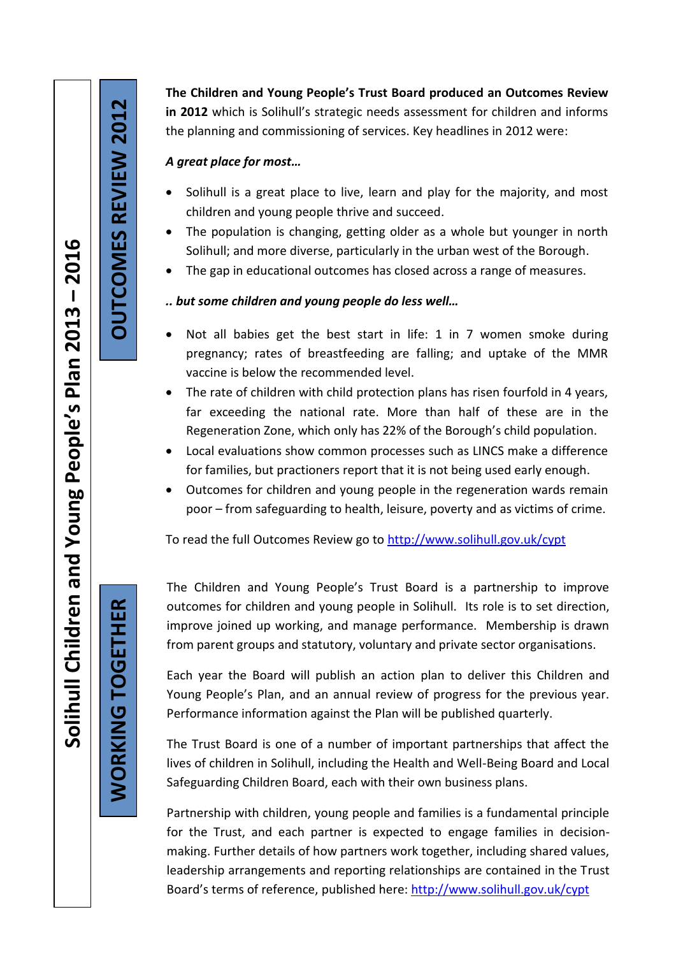**OUTCOMES REVIEW 2012**

**OUTCOMES REVIEW 2012** 

**The Children and Young People's Trust Board produced an Outcomes Review in 2012** which is Solihull's strategic needs assessment for children and informs the planning and commissioning of services. Key headlines in 2012 were:

## *A great place for most…*

- Solihull is a great place to live, learn and play for the majority, and most children and young people thrive and succeed.
- The population is changing, getting older as a whole but younger in north Solihull; and more diverse, particularly in the urban west of the Borough.
- The gap in educational outcomes has closed across a range of measures.

## *.. but some children and young people do less well…*

- Not all babies get the best start in life: 1 in 7 women smoke during pregnancy; rates of breastfeeding are falling; and uptake of the MMR vaccine is below the recommended level.
- The rate of children with child protection plans has risen fourfold in 4 years, far exceeding the national rate. More than half of these are in the Regeneration Zone, which only has 22% of the Borough's child population.
- Local evaluations show common processes such as LINCS make a difference for families, but practioners report that it is not being used early enough.
- Outcomes for children and young people in the regeneration wards remain poor – from safeguarding to health, leisure, poverty and as victims of crime.

To read the full Outcomes Review go to <http://www.solihull.gov.uk/cypt>

The Children and Young People's Trust Board is a partnership to improve outcomes for children and young people in Solihull. Its role is to set direction, improve joined up working, and manage performance. Membership is drawn from parent groups and statutory, voluntary and private sector organisations.

Each year the Board will publish an action plan to deliver this Children and Young People's Plan, and an annual review of progress for the previous year. Performance information against the Plan will be published quarterly.

The Trust Board is one of a number of important partnerships that affect the lives of children in Solihull, including the Health and Well-Being Board and Local Safeguarding Children Board, each with their own business plans.

Partnership with children, young people and families is a fundamental principle for the Trust, and each partner is expected to engage families in decisionmaking. Further details of how partners work together, including shared values, leadership arrangements and reporting relationships are contained in the Trust Board's terms of reference, published here:<http://www.solihull.gov.uk/cypt>

# **WORKING TOGETHER WORKING TOGETHER**